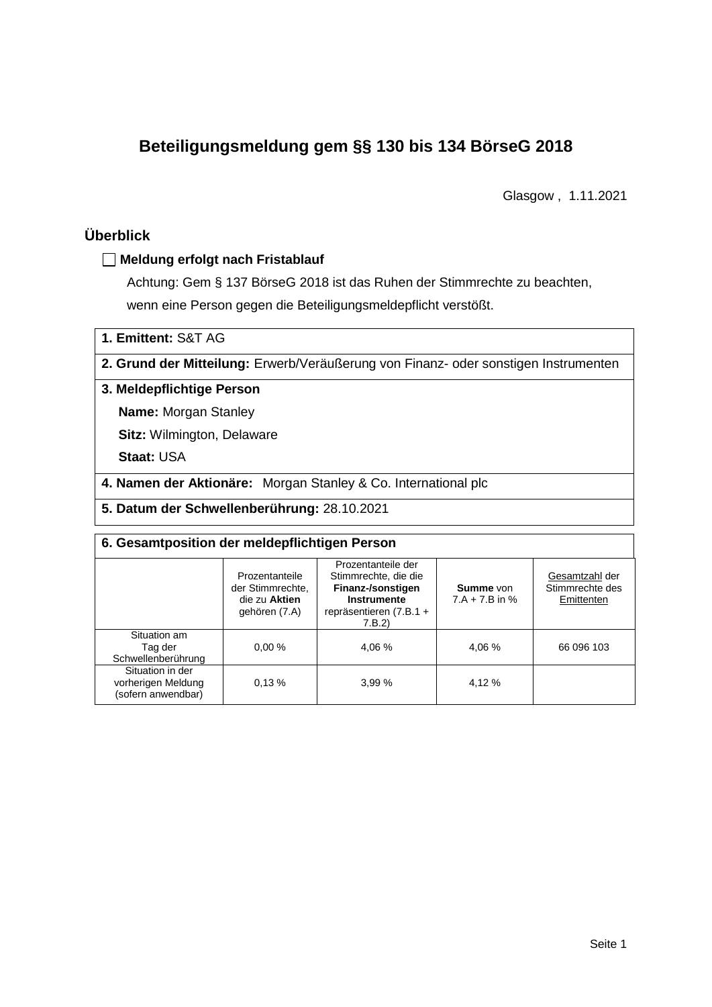# **Beteiligungsmeldung gem §§ 130 bis 134 BörseG 2018**

Glasgow , 1.11.2021

# **Überblick**

## **Meldung erfolgt nach Fristablauf**

Achtung: Gem § 137 BörseG 2018 ist das Ruhen der Stimmrechte zu beachten, wenn eine Person gegen die Beteiligungsmeldepflicht verstößt.

**1. Emittent:** S&T AG

**2. Grund der Mitteilung:** Erwerb/Veräußerung von Finanz- oder sonstigen Instrumenten

## **3. Meldepflichtige Person**

**Name:** Morgan Stanley

**Sitz:** Wilmington, Delaware

**Staat:** USA

**4. Namen der Aktionäre:** Morgan Stanley & Co. International plc

**5. Datum der Schwellenberührung:** 28.10.2021

| 6. Gesamtposition der meldepflichtigen Person                |                                                                      |                                                                                                                      |                                      |                                                 |  |  |  |
|--------------------------------------------------------------|----------------------------------------------------------------------|----------------------------------------------------------------------------------------------------------------------|--------------------------------------|-------------------------------------------------|--|--|--|
|                                                              | Prozentanteile<br>der Stimmrechte.<br>die zu Aktien<br>gehören (7.A) | Prozentanteile der<br>Stimmrechte, die die<br>Finanz-/sonstigen<br>Instrumente<br>repräsentieren $(7.B.1 +$<br>7.B.2 | <b>Summe</b> von<br>$7.A + 7.B$ in % | Gesamtzahl der<br>Stimmrechte des<br>Emittenten |  |  |  |
| Situation am<br>Tag der<br>Schwellenberührung                | 0.00%                                                                | 4.06 %                                                                                                               | 4,06 %                               | 66 096 103                                      |  |  |  |
| Situation in der<br>vorherigen Meldung<br>(sofern anwendbar) | 0.13%                                                                | 3.99%                                                                                                                | 4,12 %                               |                                                 |  |  |  |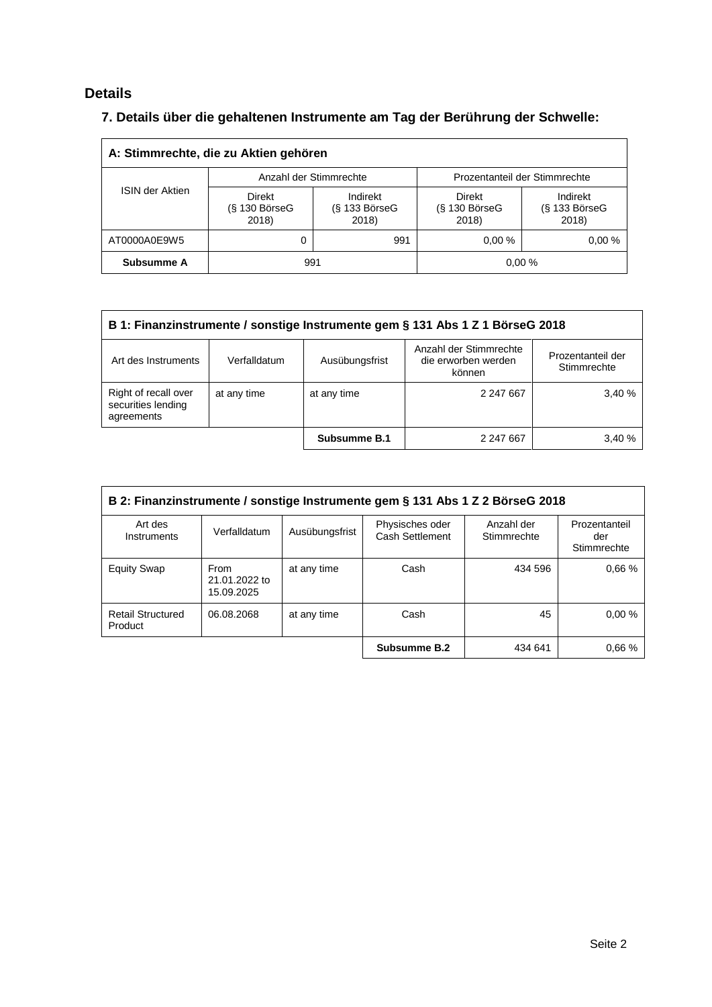# **Details**

# **7. Details über die gehaltenen Instrumente am Tag der Berührung der Schwelle:**

| A: Stimmrechte, die zu Aktien gehören |                                           |                                      |                                    |                                    |  |  |  |
|---------------------------------------|-------------------------------------------|--------------------------------------|------------------------------------|------------------------------------|--|--|--|
|                                       |                                           | Anzahl der Stimmrechte               | Prozentanteil der Stimmrechte      |                                    |  |  |  |
| <b>ISIN der Aktien</b>                | <b>Direkt</b><br>$(S$ 130 BörseG<br>2018) | Indirekt<br>$(S$ 133 BörseG<br>2018) | Direkt<br>$(S$ 130 BörseG<br>2018) | Indirekt<br>(§ 133 BörseG<br>2018) |  |  |  |
| AT0000A0E9W5                          |                                           | 991                                  | 0.00%                              | 0.00%                              |  |  |  |
| Subsumme A                            | 991<br>0.00%                              |                                      |                                    |                                    |  |  |  |

| B 1: Finanzinstrumente / sonstige Instrumente gem § 131 Abs 1 Z 1 BörseG 2018 |              |                |                                                         |                                  |  |  |
|-------------------------------------------------------------------------------|--------------|----------------|---------------------------------------------------------|----------------------------------|--|--|
| Art des Instruments                                                           | Verfalldatum | Ausübungsfrist | Anzahl der Stimmrechte<br>die erworben werden<br>können | Prozentanteil der<br>Stimmrechte |  |  |
| Right of recall over<br>securities lending<br>agreements                      | at any time  | at any time    | 2 247 667                                               | 3.40%                            |  |  |
|                                                                               |              | Subsumme B.1   | 2 247 667                                               | 3.40%                            |  |  |

| B 2: Finanzinstrumente / sonstige Instrumente gem § 131 Abs 1 Z 2 BörseG 2018 |                                     |                |                                    |                           |                                     |  |
|-------------------------------------------------------------------------------|-------------------------------------|----------------|------------------------------------|---------------------------|-------------------------------------|--|
| Art des<br>Instruments                                                        | Verfalldatum                        | Ausübungsfrist | Physisches oder<br>Cash Settlement | Anzahl der<br>Stimmrechte | Prozentanteil<br>der<br>Stimmrechte |  |
| <b>Equity Swap</b>                                                            | From<br>21.01.2022 to<br>15.09.2025 | at any time    | Cash                               | 434 596                   | 0.66%                               |  |
| <b>Retail Structured</b><br>Product                                           | 06.08.2068                          | at any time    | Cash                               | 45                        | 0.00%                               |  |
|                                                                               |                                     |                | Subsumme B.2                       | 434 641                   | 0.66%                               |  |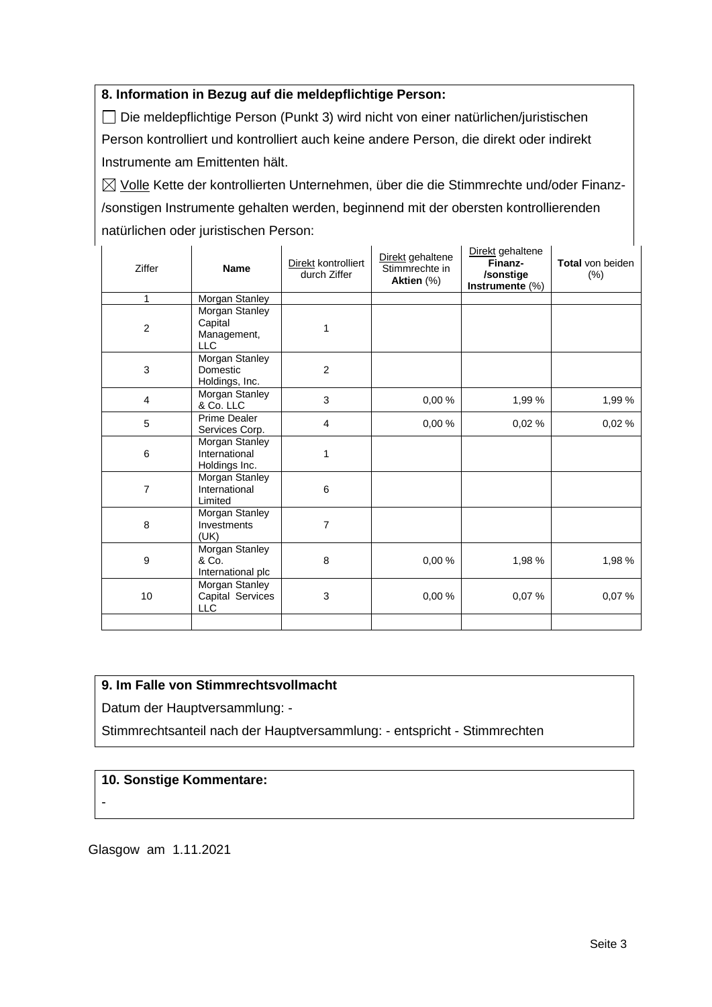### **8. Information in Bezug auf die meldepflichtige Person:**

Die meldepflichtige Person (Punkt 3) wird nicht von einer natürlichen/juristischen Person kontrolliert und kontrolliert auch keine andere Person, die direkt oder indirekt Instrumente am Emittenten hält.

 $\boxtimes$  Volle Kette der kontrollierten Unternehmen, über die die Stimmrechte und/oder Finanz-/sonstigen Instrumente gehalten werden, beginnend mit der obersten kontrollierenden natürlichen oder juristischen Person:

| Ziffer                  | <b>Name</b>                                         | Direkt kontrolliert<br>durch Ziffer | Direkt gehaltene<br>Stimmrechte in<br>Aktien (%) | Direkt gehaltene<br>Finanz-<br>/sonstige<br>Instrumente (%) | Total von beiden<br>(%) |
|-------------------------|-----------------------------------------------------|-------------------------------------|--------------------------------------------------|-------------------------------------------------------------|-------------------------|
| 1                       | Morgan Stanley                                      |                                     |                                                  |                                                             |                         |
| $\boldsymbol{2}$        | Morgan Stanley<br>Capital<br>Management,<br>LLC     | 1                                   |                                                  |                                                             |                         |
| 3                       | Morgan Stanley<br>Domestic<br>Holdings, Inc.        | $\overline{2}$                      |                                                  |                                                             |                         |
| $\overline{\mathbf{4}}$ | Morgan Stanley<br>& Co. LLC                         | 3                                   | 0,00%                                            | 1,99 %                                                      | 1,99 %                  |
| 5                       | Prime Dealer<br>Services Corp.                      | 4                                   | 0.00%                                            | 0,02%                                                       | 0,02%                   |
| 6                       | Morgan Stanley<br>International<br>Holdings Inc.    | 1                                   |                                                  |                                                             |                         |
| $\overline{7}$          | Morgan Stanley<br>International<br>Limited          | 6                                   |                                                  |                                                             |                         |
| 8                       | Morgan Stanley<br>Investments<br>(UK)               | 7                                   |                                                  |                                                             |                         |
| 9                       | <b>Morgan Stanley</b><br>& Co.<br>International plc | 8                                   | 0,00%                                            | 1,98 %                                                      | 1,98 %                  |
| 10                      | Morgan Stanley<br>Capital Services<br><b>LLC</b>    | 3                                   | 0,00%                                            | 0,07%                                                       | 0,07%                   |
|                         |                                                     |                                     |                                                  |                                                             |                         |

## **9. Im Falle von Stimmrechtsvollmacht**

Datum der Hauptversammlung: -

Stimmrechtsanteil nach der Hauptversammlung: - entspricht - Stimmrechten

#### **10. Sonstige Kommentare:**

-

Glasgow am 1.11.2021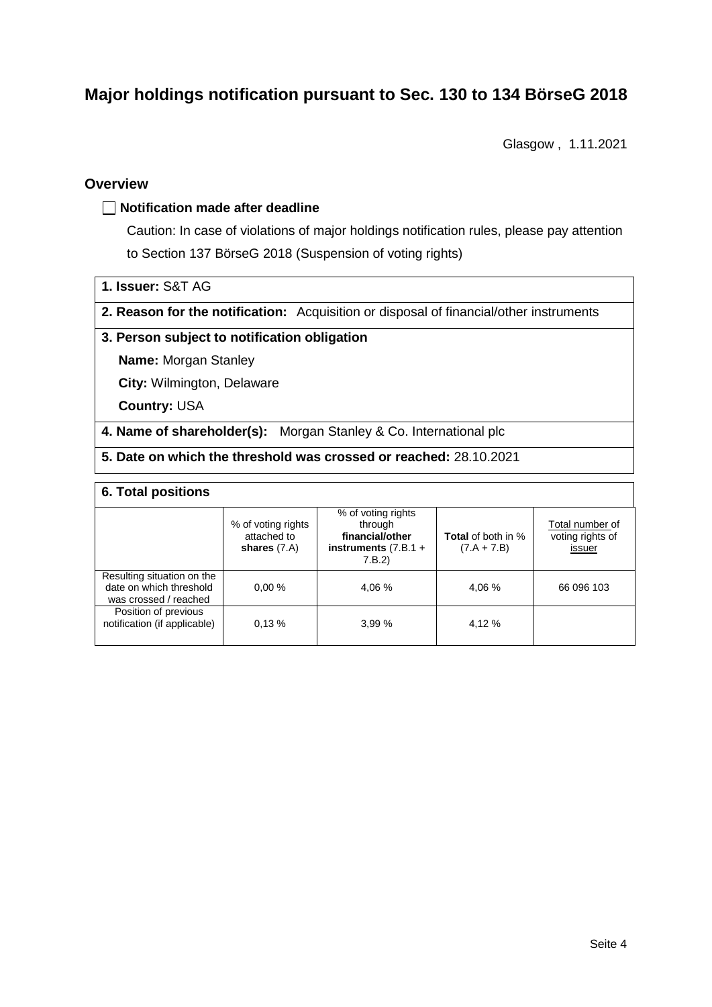# **Major holdings notification pursuant to Sec. 130 to 134 BörseG 2018**

Glasgow , 1.11.2021

### **Overview**

#### **Notification made after deadline**

Caution: In case of violations of major holdings notification rules, please pay attention to Section 137 BörseG 2018 (Suspension of voting rights)

- **1. Issuer:** S&T AG
- **2. Reason for the notification:** Acquisition or disposal of financial/other instruments

#### **3. Person subject to notification obligation**

**Name:** Morgan Stanley

**City:** Wilmington, Delaware

**Country:** USA

- **4. Name of shareholder(s):** Morgan Stanley & Co. International plc
- **5. Date on which the threshold was crossed or reached:** 28.10.2021

#### **6. Total positions**

|                                                                                | % of voting rights<br>attached to<br>shares $(7.A)$ | % of voting rights<br>through<br>financial/other<br>instruments $(7.B.1 +$<br>7.B.2 | <b>Total</b> of both in %<br>$(7.A + 7.B)$ | Total number of<br>voting rights of<br>issuer |
|--------------------------------------------------------------------------------|-----------------------------------------------------|-------------------------------------------------------------------------------------|--------------------------------------------|-----------------------------------------------|
| Resulting situation on the<br>date on which threshold<br>was crossed / reached | 0.00%                                               | 4.06 %                                                                              | 4.06 %                                     | 66 096 103                                    |
| Position of previous<br>notification (if applicable)                           | 0.13%                                               | 3.99%                                                                               | 4,12 %                                     |                                               |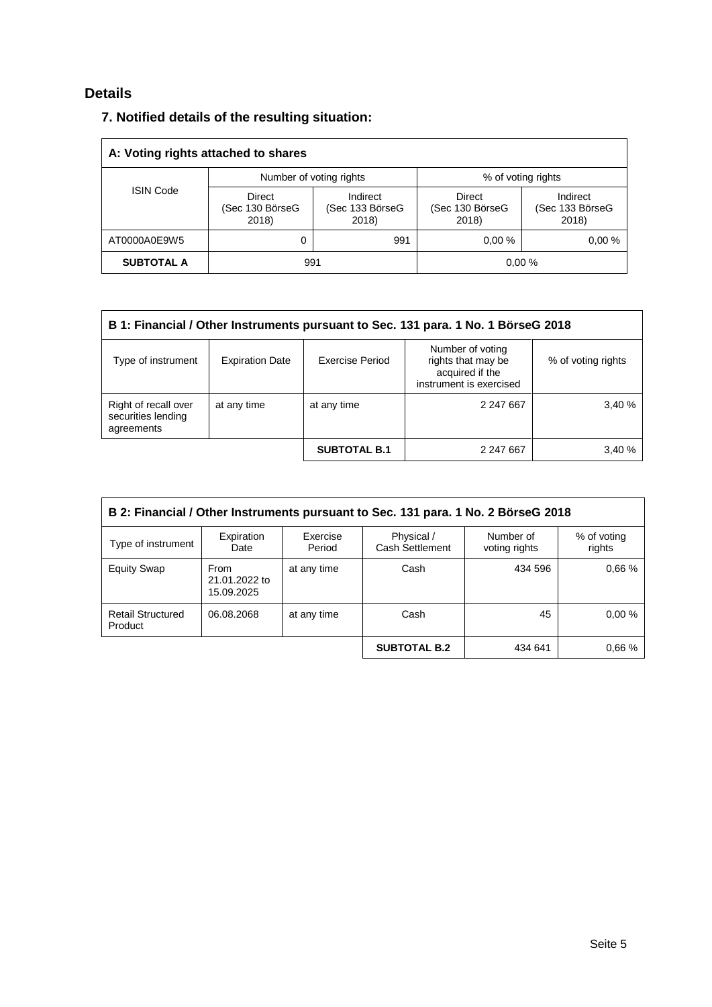# **Details**

## **7. Notified details of the resulting situation:**

| A: Voting rights attached to shares |                                    |                                      |                                    |                                      |  |  |  |
|-------------------------------------|------------------------------------|--------------------------------------|------------------------------------|--------------------------------------|--|--|--|
|                                     |                                    | Number of voting rights              | % of voting rights                 |                                      |  |  |  |
| <b>ISIN Code</b>                    | Direct<br>(Sec 130 BörseG<br>2018) | Indirect<br>(Sec 133 BörseG<br>2018) | Direct<br>(Sec 130 BörseG<br>2018) | Indirect<br>(Sec 133 BörseG<br>2018) |  |  |  |
| AT0000A0E9W5                        | 0                                  | 991                                  | 0.00%                              | 0.00%                                |  |  |  |
| <b>SUBTOTAL A</b>                   | 991<br>0.00%                       |                                      |                                    |                                      |  |  |  |

| B 1: Financial / Other Instruments pursuant to Sec. 131 para. 1 No. 1 BörseG 2018 |                        |                     |                                                                                      |                    |  |  |
|-----------------------------------------------------------------------------------|------------------------|---------------------|--------------------------------------------------------------------------------------|--------------------|--|--|
| Type of instrument                                                                | <b>Expiration Date</b> | Exercise Period     | Number of voting<br>rights that may be<br>acquired if the<br>instrument is exercised | % of voting rights |  |  |
| Right of recall over<br>securities lending<br>agreements                          | at any time            | at any time         | 2 247 667                                                                            | 3,40 %             |  |  |
|                                                                                   |                        | <b>SUBTOTAL B.1</b> | 2 247 667                                                                            | 3,40 %             |  |  |

| B 2: Financial / Other Instruments pursuant to Sec. 131 para. 1 No. 2 BörseG 2018 |                                     |                    |                               |                            |                       |  |
|-----------------------------------------------------------------------------------|-------------------------------------|--------------------|-------------------------------|----------------------------|-----------------------|--|
| Type of instrument                                                                | Expiration<br>Date                  | Exercise<br>Period | Physical /<br>Cash Settlement | Number of<br>voting rights | % of voting<br>rights |  |
| <b>Equity Swap</b>                                                                | From<br>21.01.2022 to<br>15.09.2025 | at any time        | Cash                          | 434 596                    | 0.66%                 |  |
| <b>Retail Structured</b><br>Product                                               | 06.08.2068                          | at any time        | Cash                          | 45                         | 0.00%                 |  |
|                                                                                   |                                     |                    | <b>SUBTOTAL B.2</b>           | 434 641                    | 0.66%                 |  |